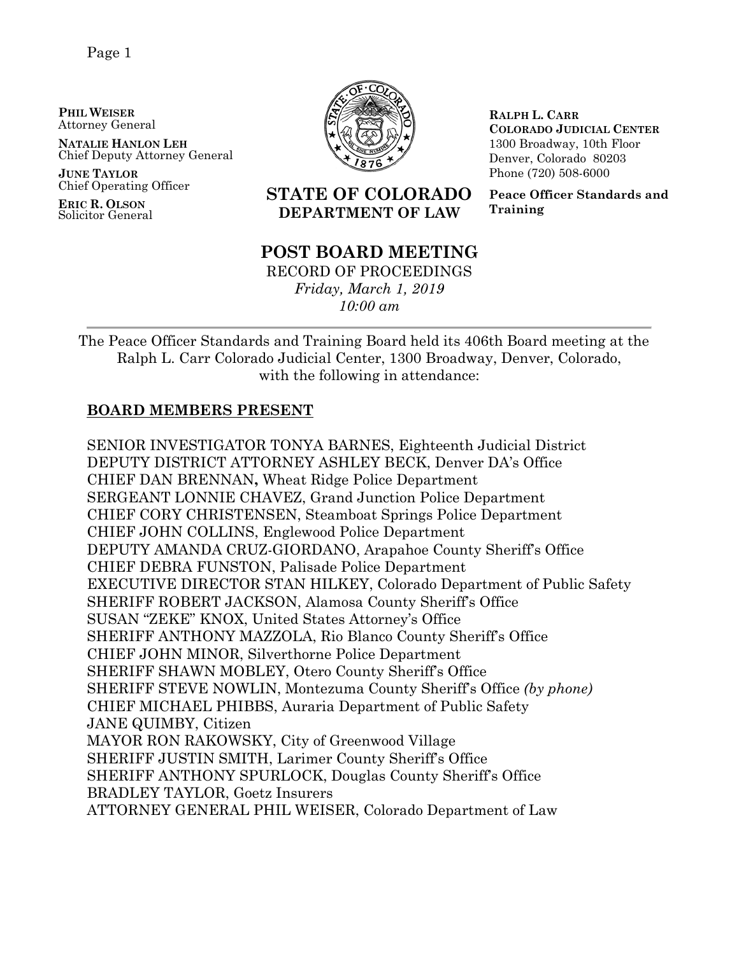Page 1

**PHIL WEISER** Attorney General

**NATALIE HANLON LEH** Chief Deputy Attorney General

**JUNE TAYLOR** Chief Operating Officer

**ERIC R. OLSON** Solicitor General



**RALPH L. CARR COLORADO JUDICIAL CENTER** 1300 Broadway, 10th Floor Denver, Colorado 80203 Phone (720) 508-6000

**Peace Officer Standards and Training**

## **STATE OF COLORADO DEPARTMENT OF LAW**

## **POST BOARD MEETING**

RECORD OF PROCEEDINGS *Friday, March 1, 2019 10:00 am*

The Peace Officer Standards and Training Board held its 406th Board meeting at the Ralph L. Carr Colorado Judicial Center, 1300 Broadway, Denver, Colorado, with the following in attendance:

## **BOARD MEMBERS PRESENT**

SENIOR INVESTIGATOR TONYA BARNES, Eighteenth Judicial District DEPUTY DISTRICT ATTORNEY ASHLEY BECK, Denver DA's Office CHIEF DAN BRENNAN**,** Wheat Ridge Police Department SERGEANT LONNIE CHAVEZ, Grand Junction Police Department CHIEF CORY CHRISTENSEN, Steamboat Springs Police Department CHIEF JOHN COLLINS, Englewood Police Department DEPUTY AMANDA CRUZ-GIORDANO, Arapahoe County Sheriff's Office CHIEF DEBRA FUNSTON, Palisade Police Department EXECUTIVE DIRECTOR STAN HILKEY, Colorado Department of Public Safety SHERIFF ROBERT JACKSON, Alamosa County Sheriff's Office SUSAN "ZEKE" KNOX, United States Attorney's Office SHERIFF ANTHONY MAZZOLA, Rio Blanco County Sheriff's Office CHIEF JOHN MINOR, Silverthorne Police Department SHERIFF SHAWN MOBLEY, Otero County Sheriff's Office SHERIFF STEVE NOWLIN, Montezuma County Sheriff's Office *(by phone)* CHIEF MICHAEL PHIBBS, Auraria Department of Public Safety JANE QUIMBY, Citizen MAYOR RON RAKOWSKY, City of Greenwood Village SHERIFF JUSTIN SMITH, Larimer County Sheriff's Office SHERIFF ANTHONY SPURLOCK, Douglas County Sheriff's Office BRADLEY TAYLOR, Goetz Insurers ATTORNEY GENERAL PHIL WEISER, Colorado Department of Law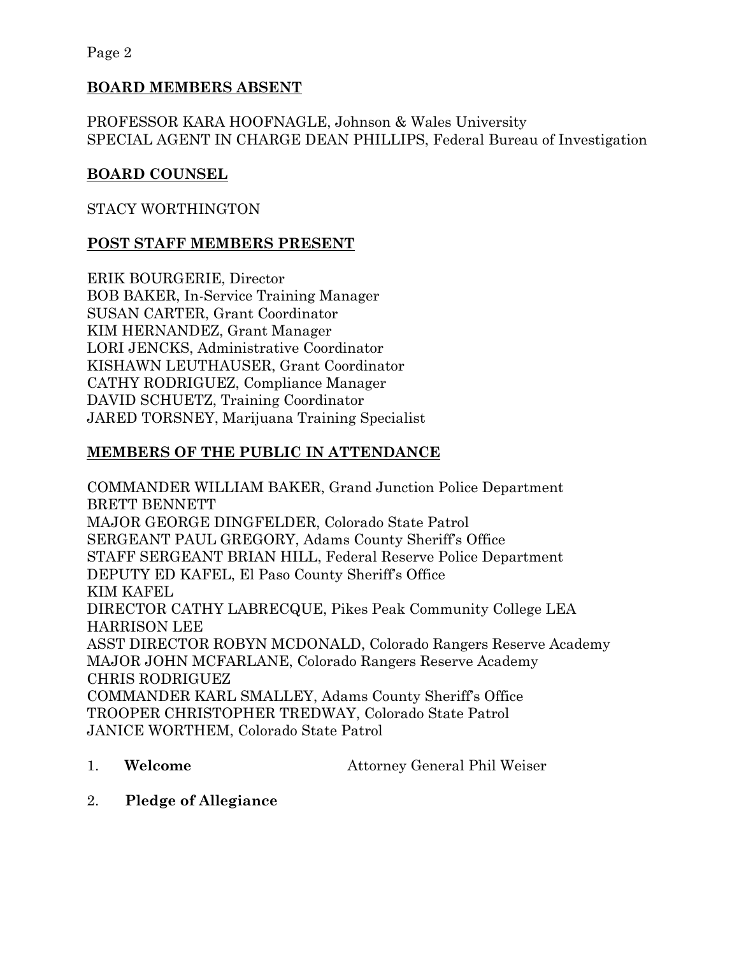Page 2

## **BOARD MEMBERS ABSENT**

PROFESSOR KARA HOOFNAGLE, Johnson & Wales University SPECIAL AGENT IN CHARGE DEAN PHILLIPS, Federal Bureau of Investigation

## **BOARD COUNSEL**

## STACY WORTHINGTON

## **POST STAFF MEMBERS PRESENT**

ERIK BOURGERIE, Director BOB BAKER, In-Service Training Manager SUSAN CARTER, Grant Coordinator KIM HERNANDEZ, Grant Manager LORI JENCKS, Administrative Coordinator KISHAWN LEUTHAUSER, Grant Coordinator CATHY RODRIGUEZ, Compliance Manager DAVID SCHUETZ, Training Coordinator JARED TORSNEY, Marijuana Training Specialist

## **MEMBERS OF THE PUBLIC IN ATTENDANCE**

COMMANDER WILLIAM BAKER, Grand Junction Police Department BRETT BENNETT MAJOR GEORGE DINGFELDER, Colorado State Patrol SERGEANT PAUL GREGORY, Adams County Sheriff's Office STAFF SERGEANT BRIAN HILL, Federal Reserve Police Department DEPUTY ED KAFEL, El Paso County Sheriff's Office KIM KAFEL DIRECTOR CATHY LABRECQUE, Pikes Peak Community College LEA HARRISON LEE ASST DIRECTOR ROBYN MCDONALD, Colorado Rangers Reserve Academy MAJOR JOHN MCFARLANE, Colorado Rangers Reserve Academy CHRIS RODRIGUEZ COMMANDER KARL SMALLEY, Adams County Sheriff's Office TROOPER CHRISTOPHER TREDWAY, Colorado State Patrol JANICE WORTHEM, Colorado State Patrol

1. **Welcome** Attorney General Phil Weiser

2. **Pledge of Allegiance**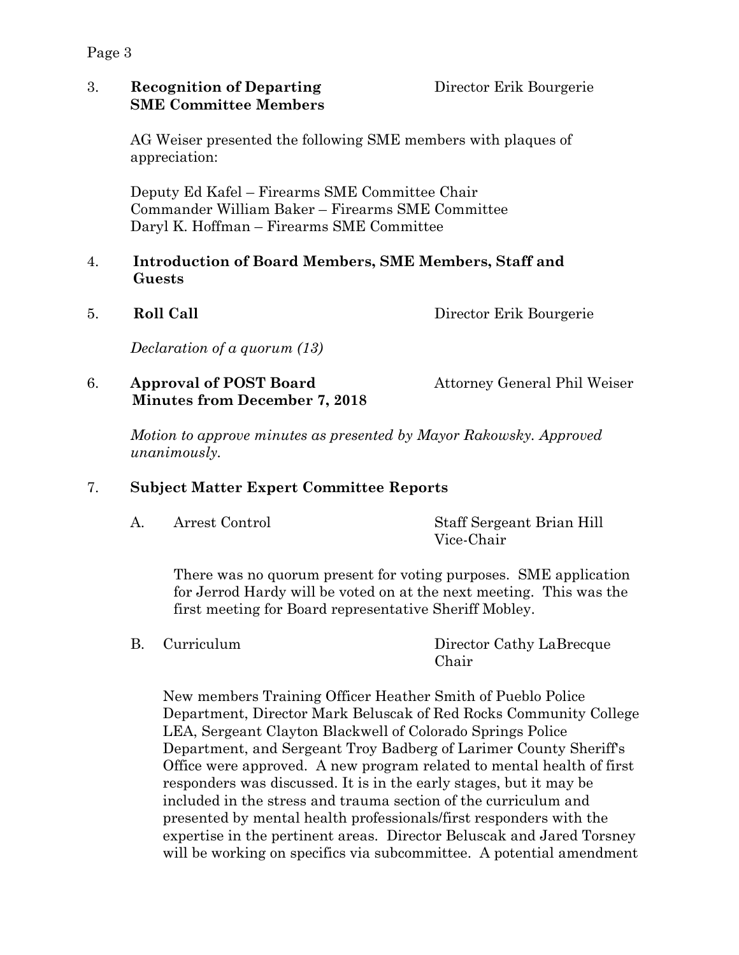3. **Recognition of Departing** Director Erik Bourgerie **SME Committee Members**

AG Weiser presented the following SME members with plaques of appreciation:

Deputy Ed Kafel – Firearms SME Committee Chair Commander William Baker – Firearms SME Committee Daryl K. Hoffman – Firearms SME Committee

### 4. **Introduction of Board Members, SME Members, Staff and Guests**

5. **Roll Call** Director Erik Bourgerie

*Declaration of a quorum (13)*

## 6. **Approval of POST Board** Attorney General Phil Weiser  **Minutes from December 7, 2018**

*Motion to approve minutes as presented by Mayor Rakowsky. Approved unanimously.*

## 7. **Subject Matter Expert Committee Reports**

A. Arrest Control Staff Sergeant Brian Hill Vice-Chair

There was no quorum present for voting purposes. SME application for Jerrod Hardy will be voted on at the next meeting. This was the first meeting for Board representative Sheriff Mobley.

B. Curriculum Director Cathy LaBrecque Chair

New members Training Officer Heather Smith of Pueblo Police Department, Director Mark Beluscak of Red Rocks Community College LEA, Sergeant Clayton Blackwell of Colorado Springs Police Department, and Sergeant Troy Badberg of Larimer County Sheriff's Office were approved. A new program related to mental health of first responders was discussed. It is in the early stages, but it may be included in the stress and trauma section of the curriculum and presented by mental health professionals/first responders with the expertise in the pertinent areas. Director Beluscak and Jared Torsney will be working on specifics via subcommittee. A potential amendment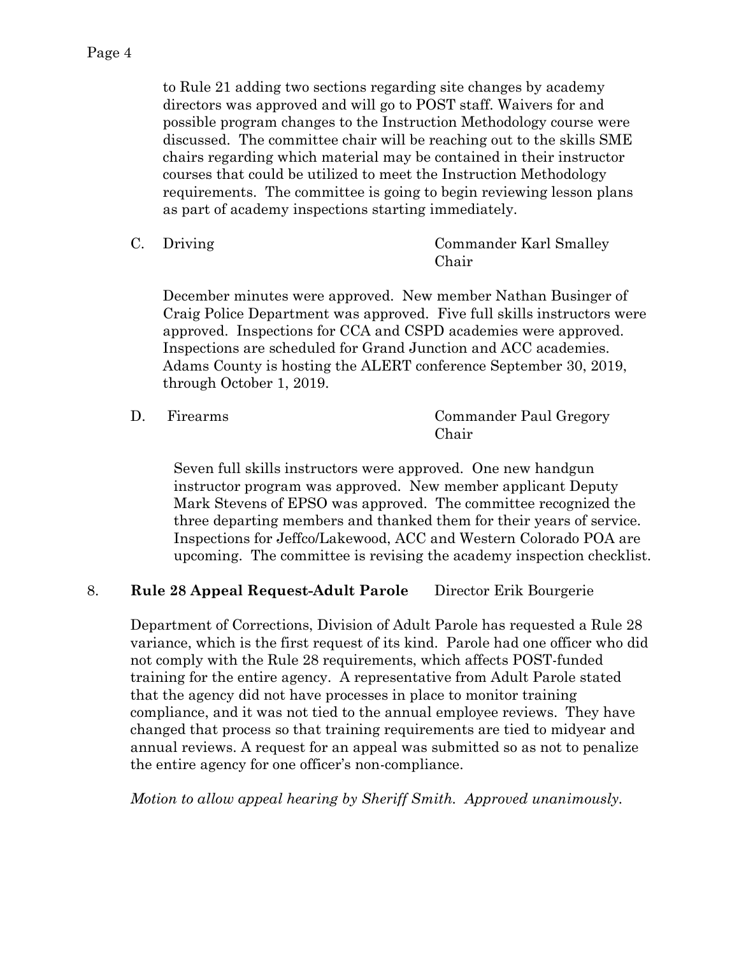to Rule 21 adding two sections regarding site changes by academy directors was approved and will go to POST staff. Waivers for and possible program changes to the Instruction Methodology course were discussed. The committee chair will be reaching out to the skills SME chairs regarding which material may be contained in their instructor courses that could be utilized to meet the Instruction Methodology requirements. The committee is going to begin reviewing lesson plans as part of academy inspections starting immediately.

C. Driving Commander Karl Smalley Chair

December minutes were approved. New member Nathan Businger of Craig Police Department was approved. Five full skills instructors were approved. Inspections for CCA and CSPD academies were approved. Inspections are scheduled for Grand Junction and ACC academies. Adams County is hosting the ALERT conference September 30, 2019, through October 1, 2019.

| Firearms | Commander Paul Gregory |
|----------|------------------------|
|          | Chair                  |

Seven full skills instructors were approved. One new handgun instructor program was approved. New member applicant Deputy Mark Stevens of EPSO was approved. The committee recognized the three departing members and thanked them for their years of service. Inspections for Jeffco/Lakewood, ACC and Western Colorado POA are upcoming. The committee is revising the academy inspection checklist.

## 8. **Rule 28 Appeal Request-Adult Parole** Director Erik Bourgerie

Department of Corrections, Division of Adult Parole has requested a Rule 28 variance, which is the first request of its kind. Parole had one officer who did not comply with the Rule 28 requirements, which affects POST-funded training for the entire agency. A representative from Adult Parole stated that the agency did not have processes in place to monitor training compliance, and it was not tied to the annual employee reviews. They have changed that process so that training requirements are tied to midyear and annual reviews. A request for an appeal was submitted so as not to penalize the entire agency for one officer's non-compliance.

*Motion to allow appeal hearing by Sheriff Smith. Approved unanimously.*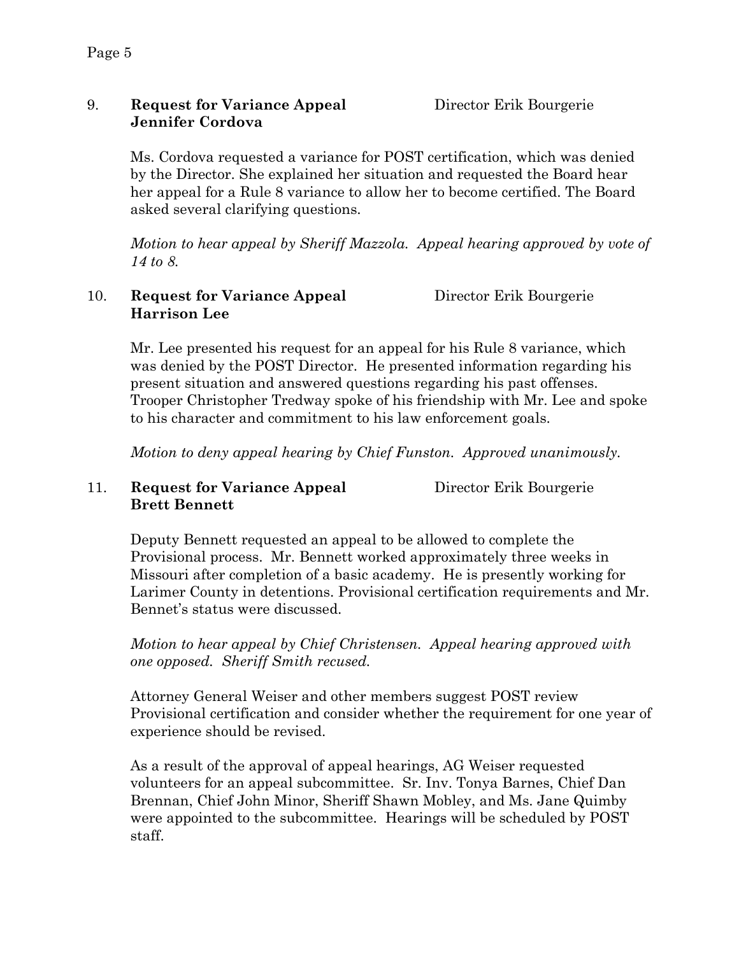## 9. **Request for Variance Appeal** Director Erik Bourgerie **Jennifer Cordova**

Ms. Cordova requested a variance for POST certification, which was denied by the Director. She explained her situation and requested the Board hear her appeal for a Rule 8 variance to allow her to become certified. The Board asked several clarifying questions.

*Motion to hear appeal by Sheriff Mazzola. Appeal hearing approved by vote of 14 to 8.*

## 10. **Request for Variance Appeal** Director Erik Bourgerie **Harrison Lee**

Mr. Lee presented his request for an appeal for his Rule 8 variance, which was denied by the POST Director. He presented information regarding his present situation and answered questions regarding his past offenses. Trooper Christopher Tredway spoke of his friendship with Mr. Lee and spoke to his character and commitment to his law enforcement goals.

*Motion to deny appeal hearing by Chief Funston. Approved unanimously.* 

## 11. **Request for Variance Appeal** Director Erik Bourgerie **Brett Bennett**

Deputy Bennett requested an appeal to be allowed to complete the Provisional process. Mr. Bennett worked approximately three weeks in Missouri after completion of a basic academy. He is presently working for Larimer County in detentions. Provisional certification requirements and Mr. Bennet's status were discussed.

*Motion to hear appeal by Chief Christensen. Appeal hearing approved with one opposed. Sheriff Smith recused.*

Attorney General Weiser and other members suggest POST review Provisional certification and consider whether the requirement for one year of experience should be revised.

As a result of the approval of appeal hearings, AG Weiser requested volunteers for an appeal subcommittee. Sr. Inv. Tonya Barnes, Chief Dan Brennan, Chief John Minor, Sheriff Shawn Mobley, and Ms. Jane Quimby were appointed to the subcommittee. Hearings will be scheduled by POST staff.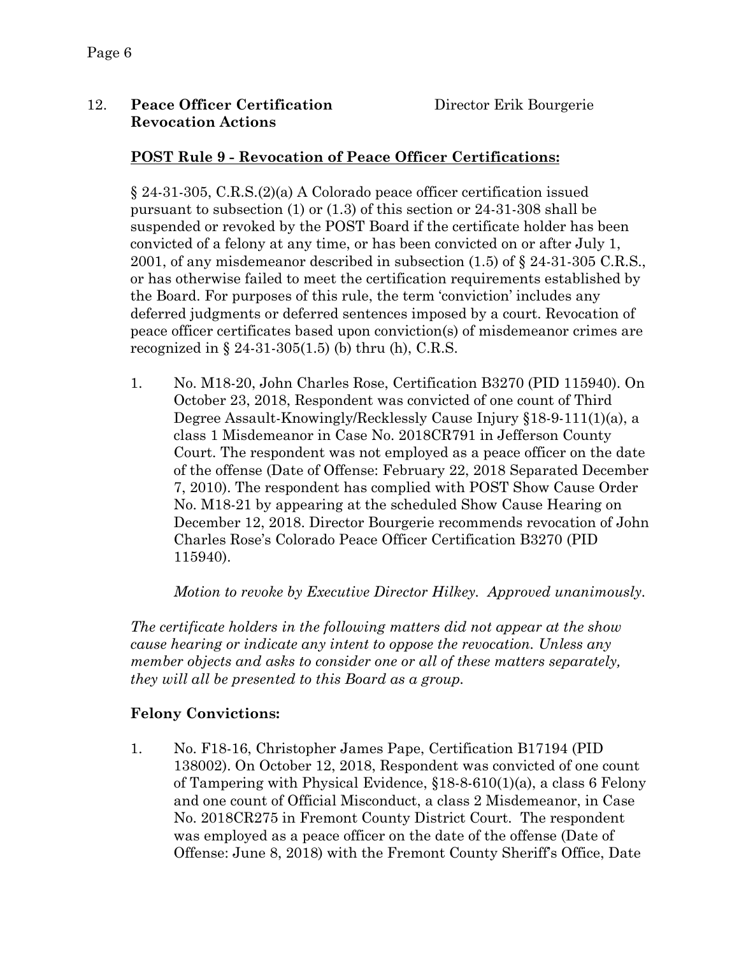## 12. **Peace Officer Certification** Director Erik Bourgerie **Revocation Actions**

## **POST Rule 9 - Revocation of Peace Officer Certifications:**

§ 24-31-305, C.R.S.(2)(a) A Colorado peace officer certification issued pursuant to subsection (1) or (1.3) of this section or 24-31-308 shall be suspended or revoked by the POST Board if the certificate holder has been convicted of a felony at any time, or has been convicted on or after July 1, 2001, of any misdemeanor described in subsection (1.5) of § 24-31-305 C.R.S., or has otherwise failed to meet the certification requirements established by the Board. For purposes of this rule, the term 'conviction' includes any deferred judgments or deferred sentences imposed by a court. Revocation of peace officer certificates based upon conviction(s) of misdemeanor crimes are recognized in  $\S 24-31-305(1.5)$  (b) thru (h), C.R.S.

1. No. M18-20, John Charles Rose, Certification B3270 (PID 115940). On October 23, 2018, Respondent was convicted of one count of Third Degree Assault-Knowingly/Recklessly Cause Injury §18-9-111(1)(a), a class 1 Misdemeanor in Case No. 2018CR791 in Jefferson County Court. The respondent was not employed as a peace officer on the date of the offense (Date of Offense: February 22, 2018 Separated December 7, 2010). The respondent has complied with POST Show Cause Order No. M18-21 by appearing at the scheduled Show Cause Hearing on December 12, 2018. Director Bourgerie recommends revocation of John Charles Rose's Colorado Peace Officer Certification B3270 (PID 115940).

*Motion to revoke by Executive Director Hilkey. Approved unanimously.*

*The certificate holders in the following matters did not appear at the show cause hearing or indicate any intent to oppose the revocation. Unless any member objects and asks to consider one or all of these matters separately, they will all be presented to this Board as a group.*

## **Felony Convictions:**

1. No. F18-16, Christopher James Pape, Certification B17194 (PID 138002). On October 12, 2018, Respondent was convicted of one count of Tampering with Physical Evidence, §18-8-610(1)(a), a class 6 Felony and one count of Official Misconduct, a class 2 Misdemeanor, in Case No. 2018CR275 in Fremont County District Court. The respondent was employed as a peace officer on the date of the offense (Date of Offense: June 8, 2018) with the Fremont County Sheriff's Office, Date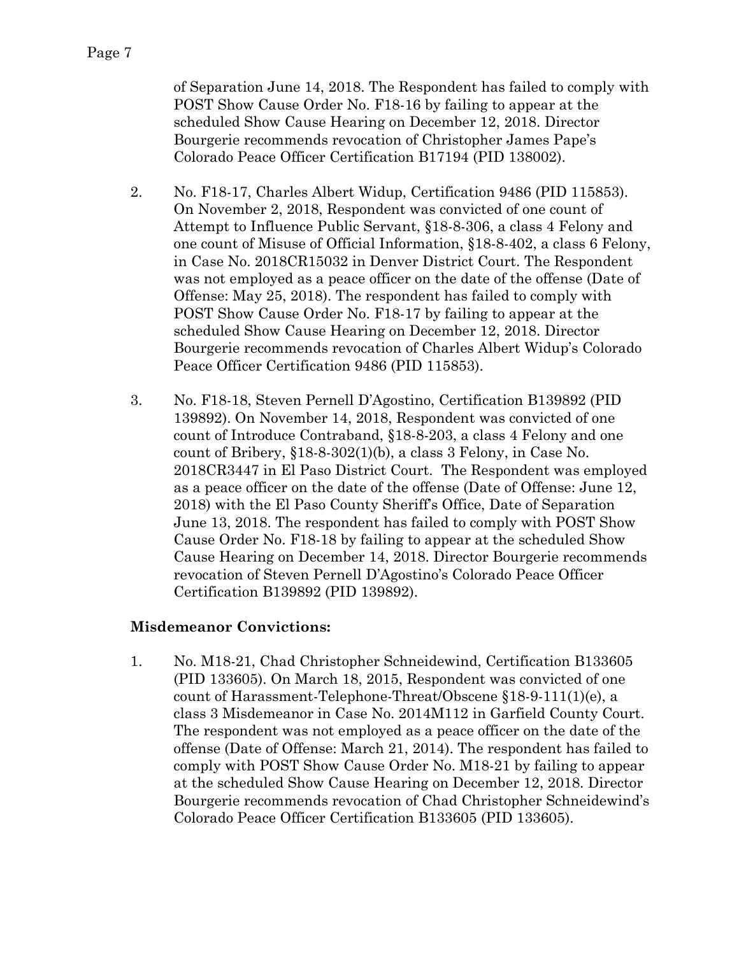of Separation June 14, 2018. The Respondent has failed to comply with POST Show Cause Order No. F18-16 by failing to appear at the scheduled Show Cause Hearing on December 12, 2018. Director Bourgerie recommends revocation of Christopher James Pape's Colorado Peace Officer Certification B17194 (PID 138002).

- 2. No. F18-17, Charles Albert Widup, Certification 9486 (PID 115853). On November 2, 2018, Respondent was convicted of one count of Attempt to Influence Public Servant, §18-8-306, a class 4 Felony and one count of Misuse of Official Information, §18-8-402, a class 6 Felony, in Case No. 2018CR15032 in Denver District Court. The Respondent was not employed as a peace officer on the date of the offense (Date of Offense: May 25, 2018). The respondent has failed to comply with POST Show Cause Order No. F18-17 by failing to appear at the scheduled Show Cause Hearing on December 12, 2018. Director Bourgerie recommends revocation of Charles Albert Widup's Colorado Peace Officer Certification 9486 (PID 115853).
- 3. No. F18-18, Steven Pernell D'Agostino, Certification B139892 (PID 139892). On November 14, 2018, Respondent was convicted of one count of Introduce Contraband, §18-8-203, a class 4 Felony and one count of Bribery, §18-8-302(1)(b), a class 3 Felony, in Case No. 2018CR3447 in El Paso District Court. The Respondent was employed as a peace officer on the date of the offense (Date of Offense: June 12, 2018) with the El Paso County Sheriff's Office, Date of Separation June 13, 2018. The respondent has failed to comply with POST Show Cause Order No. F18-18 by failing to appear at the scheduled Show Cause Hearing on December 14, 2018. Director Bourgerie recommends revocation of Steven Pernell D'Agostino's Colorado Peace Officer Certification B139892 (PID 139892).

## **Misdemeanor Convictions:**

1. No. M18-21, Chad Christopher Schneidewind, Certification B133605 (PID 133605). On March 18, 2015, Respondent was convicted of one count of Harassment-Telephone-Threat/Obscene §18-9-111(1)(e), a class 3 Misdemeanor in Case No. 2014M112 in Garfield County Court. The respondent was not employed as a peace officer on the date of the offense (Date of Offense: March 21, 2014). The respondent has failed to comply with POST Show Cause Order No. M18-21 by failing to appear at the scheduled Show Cause Hearing on December 12, 2018. Director Bourgerie recommends revocation of Chad Christopher Schneidewind's Colorado Peace Officer Certification B133605 (PID 133605).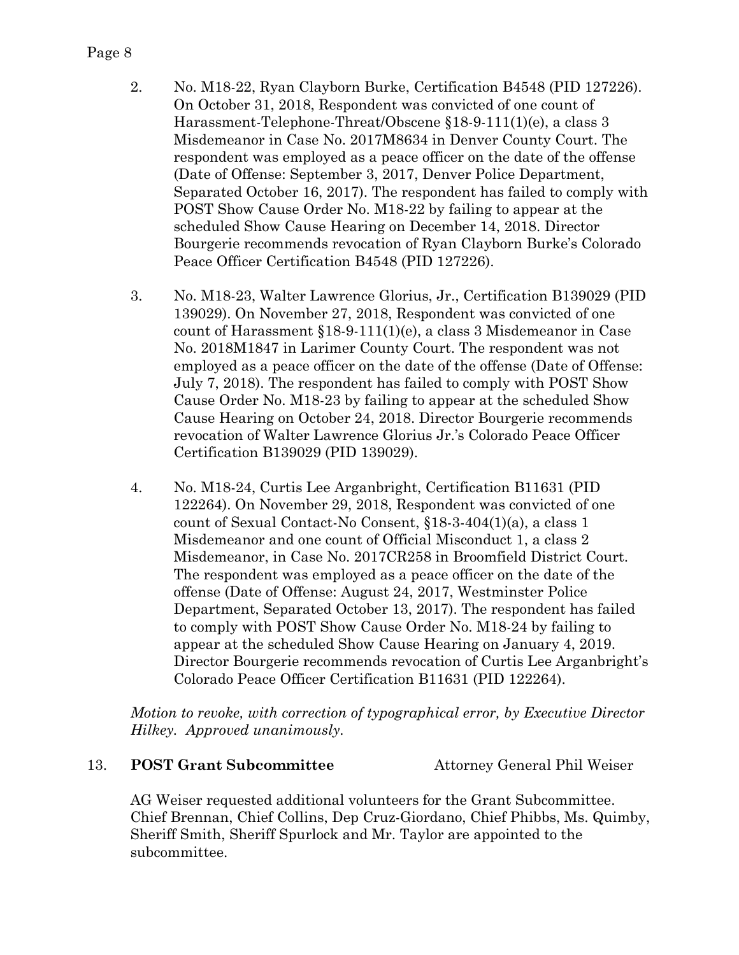### Page 8

- 2. No. M18-22, Ryan Clayborn Burke, Certification B4548 (PID 127226). On October 31, 2018, Respondent was convicted of one count of Harassment-Telephone-Threat/Obscene §18-9-111(1)(e), a class 3 Misdemeanor in Case No. 2017M8634 in Denver County Court. The respondent was employed as a peace officer on the date of the offense (Date of Offense: September 3, 2017, Denver Police Department, Separated October 16, 2017). The respondent has failed to comply with POST Show Cause Order No. M18-22 by failing to appear at the scheduled Show Cause Hearing on December 14, 2018. Director Bourgerie recommends revocation of Ryan Clayborn Burke's Colorado Peace Officer Certification B4548 (PID 127226).
- 3. No. M18-23, Walter Lawrence Glorius, Jr., Certification B139029 (PID 139029). On November 27, 2018, Respondent was convicted of one count of Harassment §18-9-111(1)(e), a class 3 Misdemeanor in Case No. 2018M1847 in Larimer County Court. The respondent was not employed as a peace officer on the date of the offense (Date of Offense: July 7, 2018). The respondent has failed to comply with POST Show Cause Order No. M18-23 by failing to appear at the scheduled Show Cause Hearing on October 24, 2018. Director Bourgerie recommends revocation of Walter Lawrence Glorius Jr.'s Colorado Peace Officer Certification B139029 (PID 139029).
- 4. No. M18-24, Curtis Lee Arganbright, Certification B11631 (PID 122264). On November 29, 2018, Respondent was convicted of one count of Sexual Contact-No Consent, §18-3-404(1)(a), a class 1 Misdemeanor and one count of Official Misconduct 1, a class 2 Misdemeanor, in Case No. 2017CR258 in Broomfield District Court. The respondent was employed as a peace officer on the date of the offense (Date of Offense: August 24, 2017, Westminster Police Department, Separated October 13, 2017). The respondent has failed to comply with POST Show Cause Order No. M18-24 by failing to appear at the scheduled Show Cause Hearing on January 4, 2019. Director Bourgerie recommends revocation of Curtis Lee Arganbright's Colorado Peace Officer Certification B11631 (PID 122264).

*Motion to revoke, with correction of typographical error, by Executive Director Hilkey. Approved unanimously.*

## 13. **POST Grant Subcommittee** Attorney General Phil Weiser

AG Weiser requested additional volunteers for the Grant Subcommittee. Chief Brennan, Chief Collins, Dep Cruz-Giordano, Chief Phibbs, Ms. Quimby, Sheriff Smith, Sheriff Spurlock and Mr. Taylor are appointed to the subcommittee.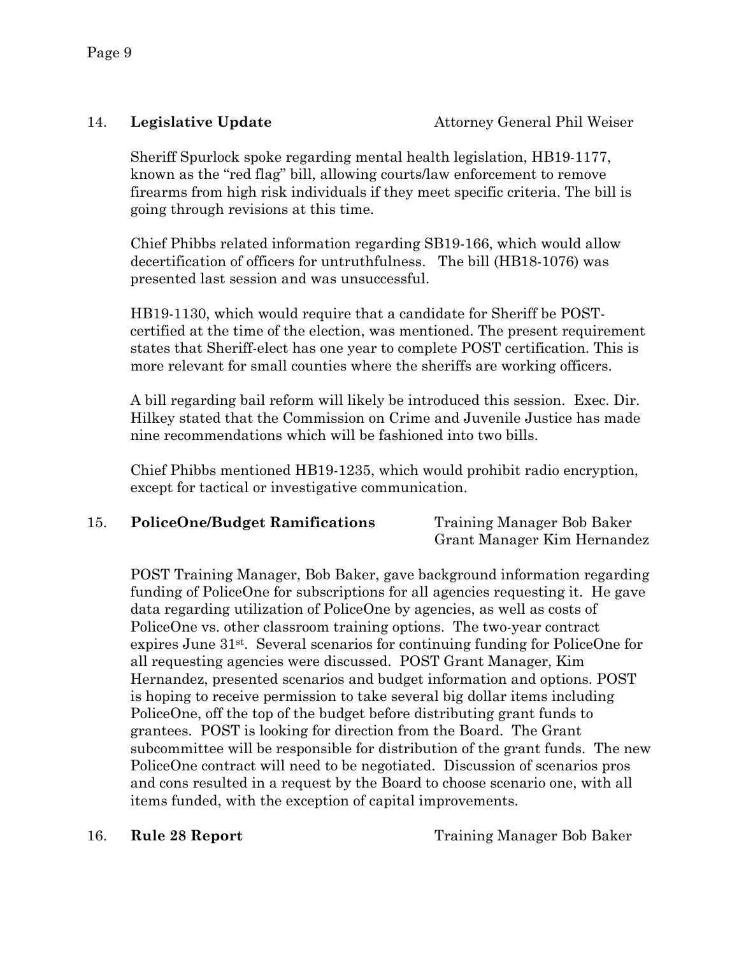Sheriff Spurlock spoke regarding mental health legislation, HB19-1177, known as the "red flag" bill, allowing courts/law enforcement to remove firearms from high risk individuals if they meet specific criteria. The bill is going through revisions at this time.

Chief Phibbs related information regarding SB19-166, which would allow decertification of officers for untruthfulness. The bill (HB18-1076) was presented last session and was unsuccessful.

HB19-1130, which would require that a candidate for Sheriff be POSTcertified at the time of the election, was mentioned. The present requirement states that Sheriff-elect has one year to complete POST certification. This is more relevant for small counties where the sheriffs are working officers.

A bill regarding bail reform will likely be introduced this session. Exec. Dir. Hilkey stated that the Commission on Crime and Juvenile Justice has made nine recommendations which will be fashioned into two bills.

Chief Phibbs mentioned HB19-1235, which would prohibit radio encryption, except for tactical or investigative communication.

## 15. **PoliceOne/Budget Ramifications** Training Manager Bob Baker

Grant Manager Kim Hernandez

POST Training Manager, Bob Baker, gave background information regarding funding of PoliceOne for subscriptions for all agencies requesting it. He gave data regarding utilization of PoliceOne by agencies, as well as costs of PoliceOne vs. other classroom training options. The two-year contract expires June 31st. Several scenarios for continuing funding for PoliceOne for all requesting agencies were discussed. POST Grant Manager, Kim Hernandez, presented scenarios and budget information and options. POST is hoping to receive permission to take several big dollar items including PoliceOne, off the top of the budget before distributing grant funds to grantees. POST is looking for direction from the Board. The Grant subcommittee will be responsible for distribution of the grant funds. The new PoliceOne contract will need to be negotiated. Discussion of scenarios pros and cons resulted in a request by the Board to choose scenario one, with all items funded, with the exception of capital improvements.

16. **Rule 28 Report** Training Manager Bob Baker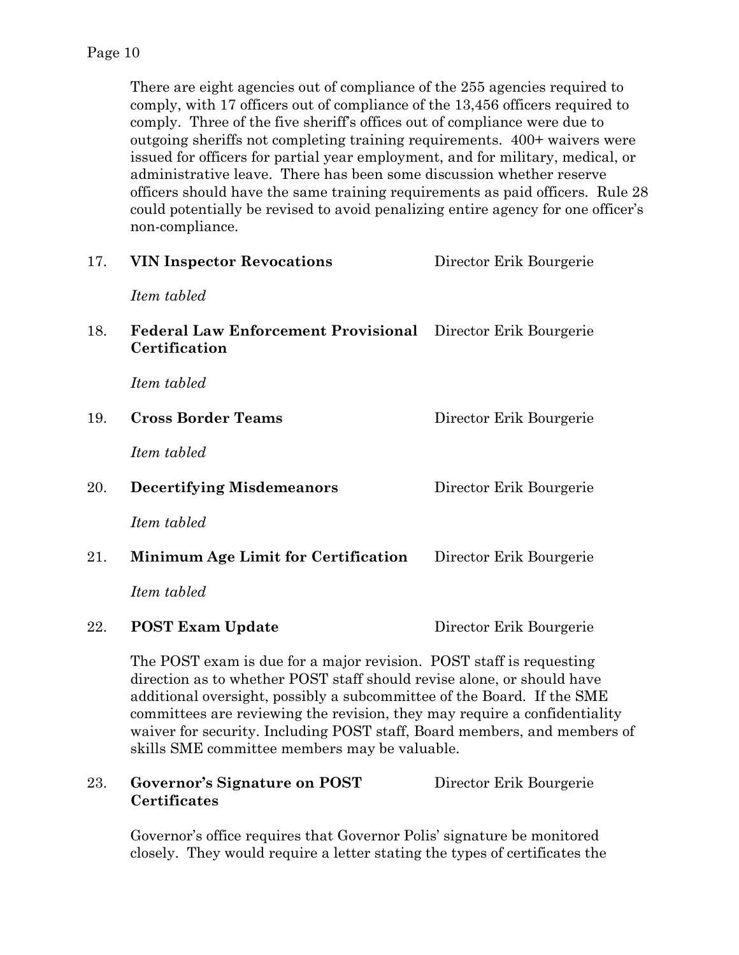There are eight agencies out of compliance of the 255 agencies required to comply, with 17 officers out of compliance of the 13,456 officers required to comply. Three of the five sheriff's offices out of compliance were due to outgoing sheriffs not completing training requirements. 400+ waivers were issued for officers for partial year employment, and for military, medical, or administrative leave. There has been some discussion whether reserve officers should have the same training requirements as paid officers. Rule 28 could potentially be revised to avoid penalizing entire agency for one officer's non-compliance.

| 17. | <b>VIN Inspector Revocations</b>                                                                                                                                                                                                                                                                  | Director Erik Bourgerie |
|-----|---------------------------------------------------------------------------------------------------------------------------------------------------------------------------------------------------------------------------------------------------------------------------------------------------|-------------------------|
|     | Item tabled                                                                                                                                                                                                                                                                                       |                         |
| 18. | <b>Federal Law Enforcement Provisional</b> Director Erik Bourgerie<br>Certification                                                                                                                                                                                                               |                         |
|     | Item tabled                                                                                                                                                                                                                                                                                       |                         |
| 19. | <b>Cross Border Teams</b>                                                                                                                                                                                                                                                                         | Director Erik Bourgerie |
|     | Item tabled                                                                                                                                                                                                                                                                                       |                         |
| 20. | <b>Decertifying Misdemeanors</b>                                                                                                                                                                                                                                                                  | Director Erik Bourgerie |
|     | Item tabled                                                                                                                                                                                                                                                                                       |                         |
| 21. | <b>Minimum Age Limit for Certification</b>                                                                                                                                                                                                                                                        | Director Erik Bourgerie |
|     | Item tabled                                                                                                                                                                                                                                                                                       |                         |
| 22. | <b>POST Exam Update</b>                                                                                                                                                                                                                                                                           | Director Erik Bourgerie |
|     | The POST exam is due for a major revision. POST staff is requesting<br>direction as to whether POST staff should revise alone, or should have<br>additional oversight, possibly a subcommittee of the Board. If the SME<br>committees are reviewing the revision they may require a confidentiali |                         |

committees are reviewing the revision, they may require a confidentiality waiver for security. Including POST staff, Board members, and members of skills SME committee members may be valuable.

## 23. **Governor's Signature on POST** Director Erik Bourgerie **Certificates**

Governor's office requires that Governor Polis' signature be monitored closely. They would require a letter stating the types of certificates the